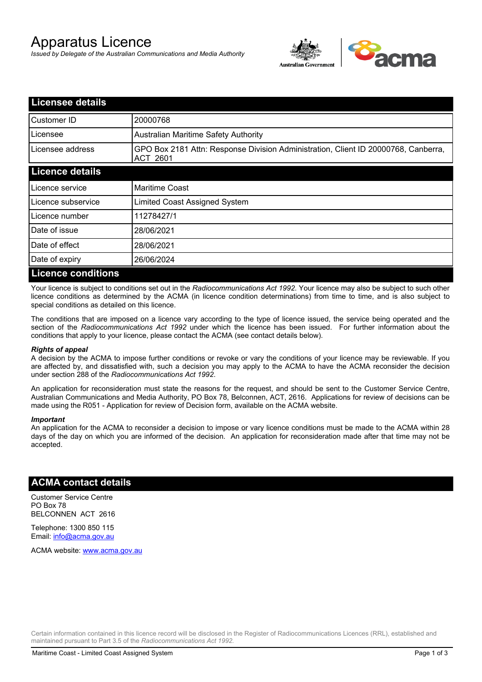# Apparatus Licence

*Issued by Delegate of the Australian Communications and Media Authority*



| <b>Licensee details</b>   |                                                                                                       |  |
|---------------------------|-------------------------------------------------------------------------------------------------------|--|
| Customer ID               | 20000768                                                                                              |  |
| Licensee                  | <b>Australian Maritime Safety Authority</b>                                                           |  |
| Licensee address          | GPO Box 2181 Attn: Response Division Administration, Client ID 20000768, Canberra,<br><b>ACT 2601</b> |  |
| <b>Licence details</b>    |                                                                                                       |  |
| Licence service           | <b>Maritime Coast</b>                                                                                 |  |
| Licence subservice        | Limited Coast Assigned System                                                                         |  |
| Licence number            | 11278427/1                                                                                            |  |
| Date of issue             | 28/06/2021                                                                                            |  |
| Date of effect            | 28/06/2021                                                                                            |  |
| Date of expiry            | 26/06/2024                                                                                            |  |
| <b>Licence conditions</b> |                                                                                                       |  |

Your licence is subject to conditions set out in the *Radiocommunications Act 1992*. Your licence may also be subject to such other licence conditions as determined by the ACMA (in licence condition determinations) from time to time, and is also subject to special conditions as detailed on this licence.

The conditions that are imposed on a licence vary according to the type of licence issued, the service being operated and the section of the *Radiocommunications Act 1992* under which the licence has been issued. For further information about the conditions that apply to your licence, please contact the ACMA (see contact details below).

#### *Rights of appeal*

A decision by the ACMA to impose further conditions or revoke or vary the conditions of your licence may be reviewable. If you are affected by, and dissatisfied with, such a decision you may apply to the ACMA to have the ACMA reconsider the decision under section 288 of the *Radiocommunications Act 1992*.

An application for reconsideration must state the reasons for the request, and should be sent to the Customer Service Centre, Australian Communications and Media Authority, PO Box 78, Belconnen, ACT, 2616. Applications for review of decisions can be made using the R051 - Application for review of Decision form, available on the ACMA website.

#### *Important*

An application for the ACMA to reconsider a decision to impose or vary licence conditions must be made to the ACMA within 28 days of the day on which you are informed of the decision. An application for reconsideration made after that time may not be accepted.

### **ACMA contact details**

Customer Service Centre PO Box 78 BELCONNEN ACT 2616

Telephone: 1300 850 115 Email: info@acma.gov.au

ACMA website: www.acma.gov.au

Certain information contained in this licence record will be disclosed in the Register of Radiocommunications Licences (RRL), established and maintained pursuant to Part 3.5 of the *Radiocommunications Act 1992.*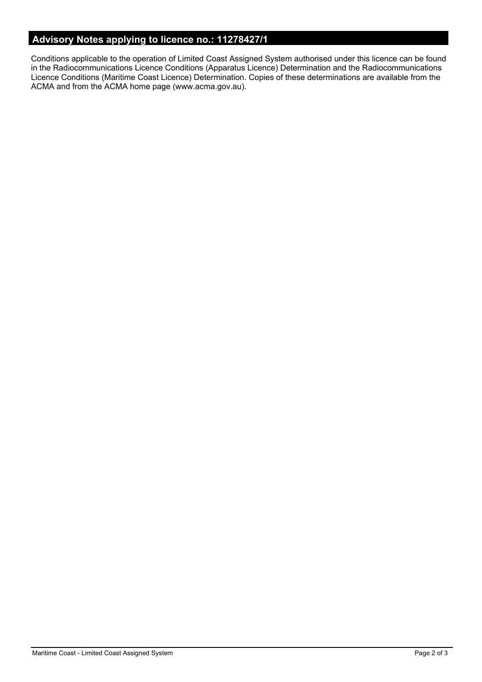# **Advisory Notes applying to licence no.: 11278427/1**

Conditions applicable to the operation of Limited Coast Assigned System authorised under this licence can be found in the Radiocommunications Licence Conditions (Apparatus Licence) Determination and the Radiocommunications Licence Conditions (Maritime Coast Licence) Determination. Copies of these determinations are available from the ACMA and from the ACMA home page (www.acma.gov.au).